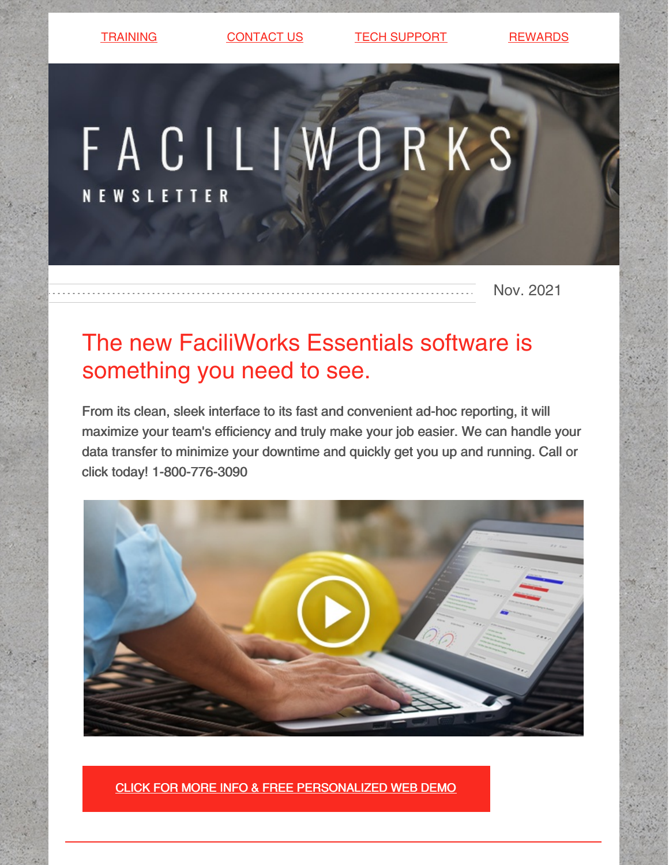[TRAINING](https://faciliworks.com/training-schedule/) [CONTACT](https://faciliworks.com/contact-us/) US TECH [SUPPORT](https://faciliworks.com/support/) [REWARDS](https://cybermetrics.com/referral-rewards/)

# FACILIWORKS **NEWSLETTER**

Nov. 2021

# The new FaciliWorks Essentials software is something you need to see.

From its clean, sleek interface to its fast and convenient ad-hoc reporting, it will maximize your team's efficiency and truly make your job easier. We can handle your data transfer to minimize your downtime and quickly get you up and running. Call or click today! 1-800-776-3090



CLICK FOR MORE INFO & FREE [PERSONALIZED](https://faciliworks.com/essentials-upgrade/) WEB DEMO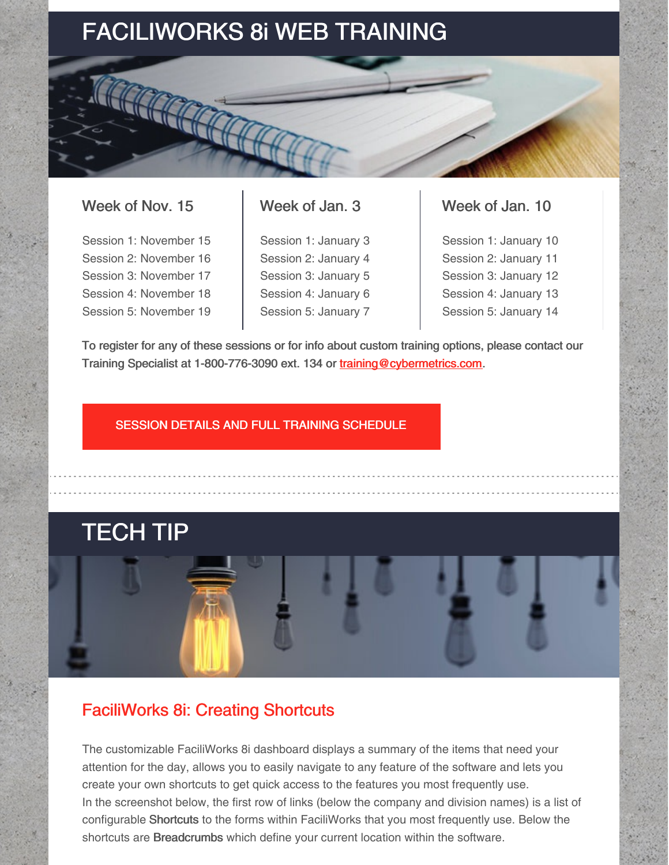# FACILIWORKS 8i WEB TRAINING

### Week of Nov. 15

Session 1: November 15 Session 2: November 16 Session 3: November 17 Session 4: November 18 Session 5: November 19

### Week of Jan. 3

Session 1: January 3 Session 2: January 4 Session 3: January 5 Session 4: January 6 Session 5: January 7

### Week of Jan. 10

Session 1: January 10 Session 2: January 11 Session 3: January 12 Session 4: January 13 Session 5: January 14

To register for any of these sessions or for info about custom training options, please contact our Training Specialist at 1-800-776-3090 ext. 134 or [training@cybermetrics.com.](mailto:training@cybermetrics.com)

### SESSION DETAILS AND FULL TRAINING [SCHEDULE](https://faciliworks.com/training-schedule/#web_training)

# TECH TIP

## FaciliWorks 8i: Creating Shortcuts

The customizable FaciliWorks 8i dashboard displays a summary of the items that need your attention for the day, allows you to easily navigate to any feature of the software and lets you create your own shortcuts to get quick access to the features you most frequently use. In the screenshot below, the first row of links (below the company and division names) is a list of configurable Shortcuts to the forms within FaciliWorks that you most frequently use. Below the shortcuts are **Breadcrumbs** which define your current location within the software.